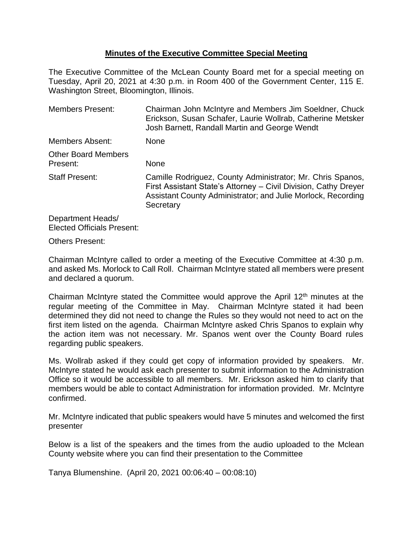# **Minutes of the Executive Committee Special Meeting**

The Executive Committee of the McLean County Board met for a special meeting on Tuesday, April 20, 2021 at 4:30 p.m. in Room 400 of the Government Center, 115 E. Washington Street, Bloomington, Illinois.

| <b>Members Present:</b>                | Chairman John McIntyre and Members Jim Soeldner, Chuck<br>Erickson, Susan Schafer, Laurie Wollrab, Catherine Metsker<br>Josh Barnett, Randall Martin and George Wendt                                      |
|----------------------------------------|------------------------------------------------------------------------------------------------------------------------------------------------------------------------------------------------------------|
| Members Absent:                        | <b>None</b>                                                                                                                                                                                                |
| <b>Other Board Members</b><br>Present: | None                                                                                                                                                                                                       |
| <b>Staff Present:</b>                  | Camille Rodriguez, County Administrator; Mr. Chris Spanos,<br>First Assistant State's Attorney - Civil Division, Cathy Dreyer<br>Assistant County Administrator; and Julie Morlock, Recording<br>Secretary |
| Department Heads/                      |                                                                                                                                                                                                            |

Elected Officials Present:

#### Others Present:

Chairman McIntyre called to order a meeting of the Executive Committee at 4:30 p.m. and asked Ms. Morlock to Call Roll. Chairman McIntyre stated all members were present and declared a quorum.

Chairman McIntyre stated the Committee would approve the April 12th minutes at the regular meeting of the Committee in May. Chairman McIntyre stated it had been determined they did not need to change the Rules so they would not need to act on the first item listed on the agenda. Chairman McIntyre asked Chris Spanos to explain why the action item was not necessary. Mr. Spanos went over the County Board rules regarding public speakers.

Ms. Wollrab asked if they could get copy of information provided by speakers. Mr. McIntyre stated he would ask each presenter to submit information to the Administration Office so it would be accessible to all members. Mr. Erickson asked him to clarify that members would be able to contact Administration for information provided. Mr. McIntyre confirmed.

Mr. McIntyre indicated that public speakers would have 5 minutes and welcomed the first presenter

Below is a list of the speakers and the times from the audio uploaded to the Mclean County website where you can find their presentation to the Committee

Tanya Blumenshine. (April 20, 2021 00:06:40 – 00:08:10)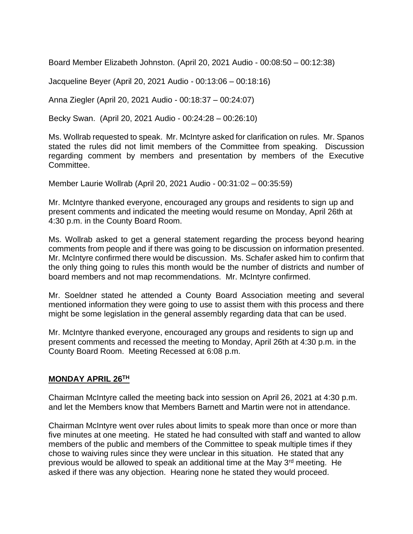Board Member Elizabeth Johnston. (April 20, 2021 Audio - 00:08:50 – 00:12:38)

Jacqueline Beyer (April 20, 2021 Audio - 00:13:06 – 00:18:16)

Anna Ziegler (April 20, 2021 Audio - 00:18:37 – 00:24:07)

Becky Swan. (April 20, 2021 Audio - 00:24:28 – 00:26:10)

Ms. Wollrab requested to speak. Mr. McIntyre asked for clarification on rules. Mr. Spanos stated the rules did not limit members of the Committee from speaking. Discussion regarding comment by members and presentation by members of the Executive Committee.

Member Laurie Wollrab (April 20, 2021 Audio - 00:31:02 – 00:35:59)

Mr. McIntyre thanked everyone, encouraged any groups and residents to sign up and present comments and indicated the meeting would resume on Monday, April 26th at 4:30 p.m. in the County Board Room.

Ms. Wollrab asked to get a general statement regarding the process beyond hearing comments from people and if there was going to be discussion on information presented. Mr. McIntyre confirmed there would be discussion. Ms. Schafer asked him to confirm that the only thing going to rules this month would be the number of districts and number of board members and not map recommendations. Mr. McIntyre confirmed.

Mr. Soeldner stated he attended a County Board Association meeting and several mentioned information they were going to use to assist them with this process and there might be some legislation in the general assembly regarding data that can be used.

Mr. McIntyre thanked everyone, encouraged any groups and residents to sign up and present comments and recessed the meeting to Monday, April 26th at 4:30 p.m. in the County Board Room. Meeting Recessed at 6:08 p.m.

### **MONDAY APRIL 26TH**

Chairman McIntyre called the meeting back into session on April 26, 2021 at 4:30 p.m. and let the Members know that Members Barnett and Martin were not in attendance.

Chairman McIntyre went over rules about limits to speak more than once or more than five minutes at one meeting. He stated he had consulted with staff and wanted to allow members of the public and members of the Committee to speak multiple times if they chose to waiving rules since they were unclear in this situation. He stated that any previous would be allowed to speak an additional time at the May  $3<sup>rd</sup>$  meeting. He asked if there was any objection. Hearing none he stated they would proceed.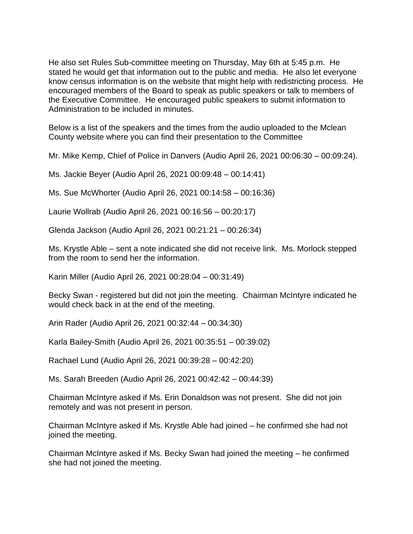He also set Rules Sub-committee meeting on Thursday, May 6th at 5:45 p.m. He stated he would get that information out to the public and media. He also let everyone know census information is on the website that might help with redistricting process. He encouraged members of the Board to speak as public speakers or talk to members of the Executive Committee. He encouraged public speakers to submit information to Administration to be included in minutes.

Below is a list of the speakers and the times from the audio uploaded to the Mclean County website where you can find their presentation to the Committee

Mr. Mike Kemp, Chief of Police in Danvers (Audio April 26, 2021 00:06:30 – 00:09:24).

Ms. Jackie Beyer (Audio April 26, 2021 00:09:48 – 00:14:41)

Ms. Sue McWhorter (Audio April 26, 2021 00:14:58 – 00:16:36)

Laurie Wollrab (Audio April 26, 2021 00:16:56 – 00:20:17)

Glenda Jackson (Audio April 26, 2021 00:21:21 – 00:26:34)

Ms. Krystle Able – sent a note indicated she did not receive link. Ms. Morlock stepped from the room to send her the information.

Karin Miller (Audio April 26, 2021 00:28:04 – 00:31:49)

Becky Swan - registered but did not join the meeting. Chairman McIntyre indicated he would check back in at the end of the meeting.

Arin Rader (Audio April 26, 2021 00:32:44 – 00:34:30)

Karla Bailey-Smith (Audio April 26, 2021 00:35:51 – 00:39:02)

Rachael Lund (Audio April 26, 2021 00:39:28 – 00:42:20)

Ms. Sarah Breeden (Audio April 26, 2021 00:42:42 – 00:44:39)

Chairman McIntyre asked if Ms. Erin Donaldson was not present. She did not join remotely and was not present in person.

Chairman McIntyre asked if Ms. Krystle Able had joined – he confirmed she had not joined the meeting.

Chairman McIntyre asked if Ms. Becky Swan had joined the meeting – he confirmed she had not joined the meeting.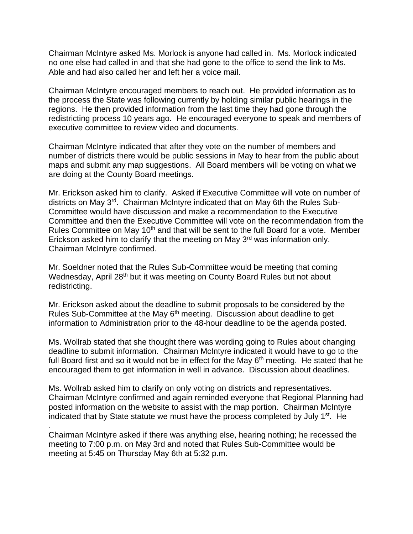Chairman McIntyre asked Ms. Morlock is anyone had called in. Ms. Morlock indicated no one else had called in and that she had gone to the office to send the link to Ms. Able and had also called her and left her a voice mail.

Chairman McIntyre encouraged members to reach out. He provided information as to the process the State was following currently by holding similar public hearings in the regions. He then provided information from the last time they had gone through the redistricting process 10 years ago. He encouraged everyone to speak and members of executive committee to review video and documents.

Chairman McIntyre indicated that after they vote on the number of members and number of districts there would be public sessions in May to hear from the public about maps and submit any map suggestions. All Board members will be voting on what we are doing at the County Board meetings.

Mr. Erickson asked him to clarify. Asked if Executive Committee will vote on number of districts on May 3rd. Chairman McIntyre indicated that on May 6th the Rules Sub-Committee would have discussion and make a recommendation to the Executive Committee and then the Executive Committee will vote on the recommendation from the Rules Committee on May 10<sup>th</sup> and that will be sent to the full Board for a vote. Member Erickson asked him to clarify that the meeting on May 3rd was information only. Chairman McIntyre confirmed.

Mr. Soeldner noted that the Rules Sub-Committee would be meeting that coming Wednesday, April 28<sup>th</sup> but it was meeting on County Board Rules but not about redistricting.

Mr. Erickson asked about the deadline to submit proposals to be considered by the Rules Sub-Committee at the May 6<sup>th</sup> meeting. Discussion about deadline to get information to Administration prior to the 48-hour deadline to be the agenda posted.

Ms. Wollrab stated that she thought there was wording going to Rules about changing deadline to submit information. Chairman McIntyre indicated it would have to go to the full Board first and so it would not be in effect for the May  $6<sup>th</sup>$  meeting. He stated that he encouraged them to get information in well in advance. Discussion about deadlines.

Ms. Wollrab asked him to clarify on only voting on districts and representatives. Chairman McIntyre confirmed and again reminded everyone that Regional Planning had posted information on the website to assist with the map portion. Chairman McIntyre indicated that by State statute we must have the process completed by July 1<sup>st</sup>. He

Chairman McIntyre asked if there was anything else, hearing nothing; he recessed the meeting to 7:00 p.m. on May 3rd and noted that Rules Sub-Committee would be meeting at 5:45 on Thursday May 6th at 5:32 p.m.

.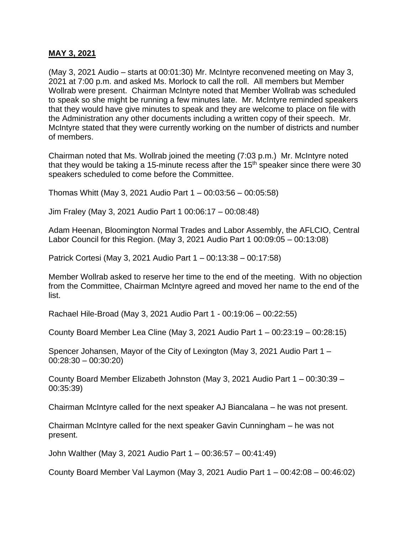### **MAY 3, 2021**

(May 3, 2021 Audio – starts at 00:01:30) Mr. McIntyre reconvened meeting on May 3, 2021 at 7:00 p.m. and asked Ms. Morlock to call the roll. All members but Member Wollrab were present. Chairman McIntyre noted that Member Wollrab was scheduled to speak so she might be running a few minutes late. Mr. McIntyre reminded speakers that they would have give minutes to speak and they are welcome to place on file with the Administration any other documents including a written copy of their speech. Mr. McIntyre stated that they were currently working on the number of districts and number of members.

Chairman noted that Ms. Wollrab joined the meeting (7:03 p.m.) Mr. McIntyre noted that they would be taking a 15-minute recess after the  $15<sup>th</sup>$  speaker since there were 30 speakers scheduled to come before the Committee.

Thomas Whitt (May 3, 2021 Audio Part 1 – 00:03:56 – 00:05:58)

Jim Fraley (May 3, 2021 Audio Part 1 00:06:17 – 00:08:48)

Adam Heenan, Bloomington Normal Trades and Labor Assembly, the AFLCIO, Central Labor Council for this Region. (May 3, 2021 Audio Part 1 00:09:05 – 00:13:08)

Patrick Cortesi (May 3, 2021 Audio Part 1 – 00:13:38 – 00:17:58)

Member Wollrab asked to reserve her time to the end of the meeting. With no objection from the Committee, Chairman McIntyre agreed and moved her name to the end of the list.

Rachael Hile-Broad (May 3, 2021 Audio Part 1 - 00:19:06 – 00:22:55)

County Board Member Lea Cline (May 3, 2021 Audio Part 1 – 00:23:19 – 00:28:15)

Spencer Johansen, Mayor of the City of Lexington (May 3, 2021 Audio Part 1 – 00:28:30 – 00:30:20)

County Board Member Elizabeth Johnston (May 3, 2021 Audio Part 1 – 00:30:39 – 00:35:39)

Chairman McIntyre called for the next speaker AJ Biancalana – he was not present.

Chairman McIntyre called for the next speaker Gavin Cunningham – he was not present.

John Walther (May 3, 2021 Audio Part 1 – 00:36:57 – 00:41:49)

County Board Member Val Laymon (May 3, 2021 Audio Part 1 – 00:42:08 – 00:46:02)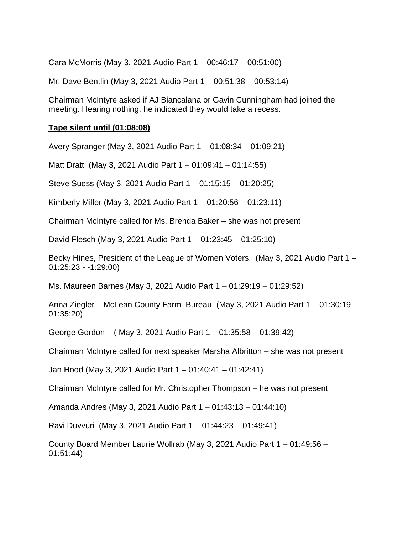Cara McMorris (May 3, 2021 Audio Part 1 – 00:46:17 – 00:51:00)

Mr. Dave Bentlin (May 3, 2021 Audio Part 1 – 00:51:38 – 00:53:14)

Chairman McIntyre asked if AJ Biancalana or Gavin Cunningham had joined the meeting. Hearing nothing, he indicated they would take a recess.

# **Tape silent until (01:08:08)**

Avery Spranger (May 3, 2021 Audio Part 1 – 01:08:34 – 01:09:21)

Matt Dratt (May 3, 2021 Audio Part 1 – 01:09:41 – 01:14:55)

Steve Suess (May 3, 2021 Audio Part 1 – 01:15:15 – 01:20:25)

Kimberly Miller (May 3, 2021 Audio Part 1 – 01:20:56 – 01:23:11)

Chairman McIntyre called for Ms. Brenda Baker – she was not present

David Flesch (May 3, 2021 Audio Part 1 – 01:23:45 – 01:25:10)

Becky Hines, President of the League of Women Voters. (May 3, 2021 Audio Part 1 – 01:25:23 - -1:29:00)

Ms. Maureen Barnes (May 3, 2021 Audio Part 1 – 01:29:19 – 01:29:52)

Anna Ziegler – McLean County Farm Bureau (May 3, 2021 Audio Part 1 – 01:30:19 – 01:35:20)

George Gordon – ( May 3, 2021 Audio Part 1 – 01:35:58 – 01:39:42)

Chairman McIntyre called for next speaker Marsha Albritton – she was not present

Jan Hood (May 3, 2021 Audio Part 1 – 01:40:41 – 01:42:41)

Chairman McIntyre called for Mr. Christopher Thompson – he was not present

Amanda Andres (May 3, 2021 Audio Part 1 – 01:43:13 – 01:44:10)

Ravi Duvvuri (May 3, 2021 Audio Part 1 – 01:44:23 – 01:49:41)

County Board Member Laurie Wollrab (May 3, 2021 Audio Part 1 – 01:49:56 – 01:51:44)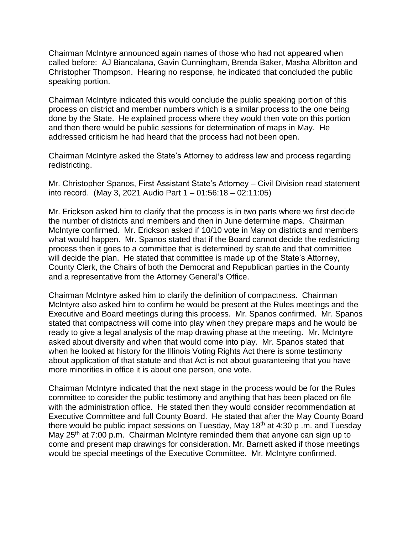Chairman McIntyre announced again names of those who had not appeared when called before: AJ Biancalana, Gavin Cunningham, Brenda Baker, Masha Albritton and Christopher Thompson. Hearing no response, he indicated that concluded the public speaking portion.

Chairman McIntyre indicated this would conclude the public speaking portion of this process on district and member numbers which is a similar process to the one being done by the State. He explained process where they would then vote on this portion and then there would be public sessions for determination of maps in May. He addressed criticism he had heard that the process had not been open.

Chairman McIntyre asked the State's Attorney to address law and process regarding redistricting.

Mr. Christopher Spanos, First Assistant State's Attorney – Civil Division read statement into record. (May 3, 2021 Audio Part 1 – 01:56:18 – 02:11:05)

Mr. Erickson asked him to clarify that the process is in two parts where we first decide the number of districts and members and then in June determine maps. Chairman McIntyre confirmed. Mr. Erickson asked if 10/10 vote in May on districts and members what would happen. Mr. Spanos stated that if the Board cannot decide the redistricting process then it goes to a committee that is determined by statute and that committee will decide the plan. He stated that committee is made up of the State's Attorney, County Clerk, the Chairs of both the Democrat and Republican parties in the County and a representative from the Attorney General's Office.

Chairman McIntyre asked him to clarify the definition of compactness. Chairman McIntyre also asked him to confirm he would be present at the Rules meetings and the Executive and Board meetings during this process. Mr. Spanos confirmed. Mr. Spanos stated that compactness will come into play when they prepare maps and he would be ready to give a legal analysis of the map drawing phase at the meeting. Mr. McIntyre asked about diversity and when that would come into play. Mr. Spanos stated that when he looked at history for the Illinois Voting Rights Act there is some testimony about application of that statute and that Act is not about guaranteeing that you have more minorities in office it is about one person, one vote.

Chairman McIntyre indicated that the next stage in the process would be for the Rules committee to consider the public testimony and anything that has been placed on file with the administration office. He stated then they would consider recommendation at Executive Committee and full County Board. He stated that after the May County Board there would be public impact sessions on Tuesday, May  $18<sup>th</sup>$  at 4:30 p .m. and Tuesday May 25<sup>th</sup> at 7:00 p.m. Chairman McIntyre reminded them that anyone can sign up to come and present map drawings for consideration. Mr. Barnett asked if those meetings would be special meetings of the Executive Committee. Mr. McIntyre confirmed.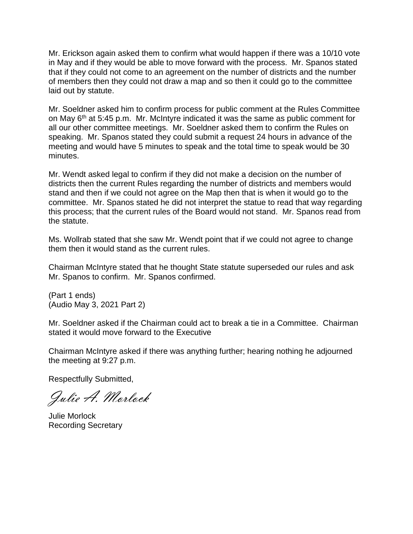Mr. Erickson again asked them to confirm what would happen if there was a 10/10 vote in May and if they would be able to move forward with the process. Mr. Spanos stated that if they could not come to an agreement on the number of districts and the number of members then they could not draw a map and so then it could go to the committee laid out by statute.

Mr. Soeldner asked him to confirm process for public comment at the Rules Committee on May 6<sup>th</sup> at 5:45 p.m. Mr. McIntyre indicated it was the same as public comment for all our other committee meetings. Mr. Soeldner asked them to confirm the Rules on speaking. Mr. Spanos stated they could submit a request 24 hours in advance of the meeting and would have 5 minutes to speak and the total time to speak would be 30 minutes.

Mr. Wendt asked legal to confirm if they did not make a decision on the number of districts then the current Rules regarding the number of districts and members would stand and then if we could not agree on the Map then that is when it would go to the committee. Mr. Spanos stated he did not interpret the statue to read that way regarding this process; that the current rules of the Board would not stand. Mr. Spanos read from the statute.

Ms. Wollrab stated that she saw Mr. Wendt point that if we could not agree to change them then it would stand as the current rules.

Chairman McIntyre stated that he thought State statute superseded our rules and ask Mr. Spanos to confirm. Mr. Spanos confirmed.

(Part 1 ends) (Audio May 3, 2021 Part 2)

Mr. Soeldner asked if the Chairman could act to break a tie in a Committee. Chairman stated it would move forward to the Executive

Chairman McIntyre asked if there was anything further; hearing nothing he adjourned the meeting at 9:27 p.m.

Respectfully Submitted,

Julie A. Morlock

Julie Morlock Recording Secretary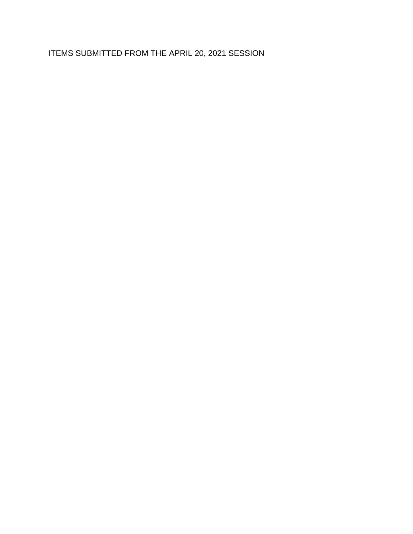ITEMS SUBMITTED FROM THE APRIL 20, 2021 SESSION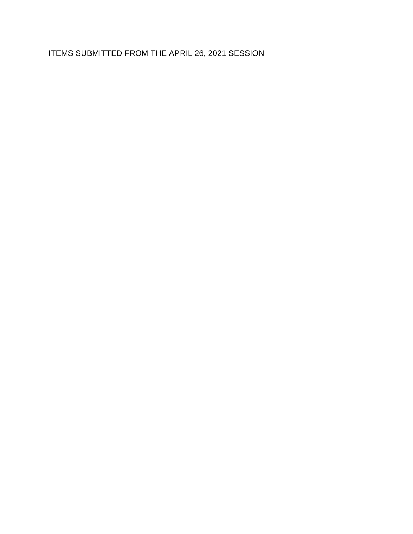ITEMS SUBMITTED FROM THE APRIL 26, 2021 SESSION